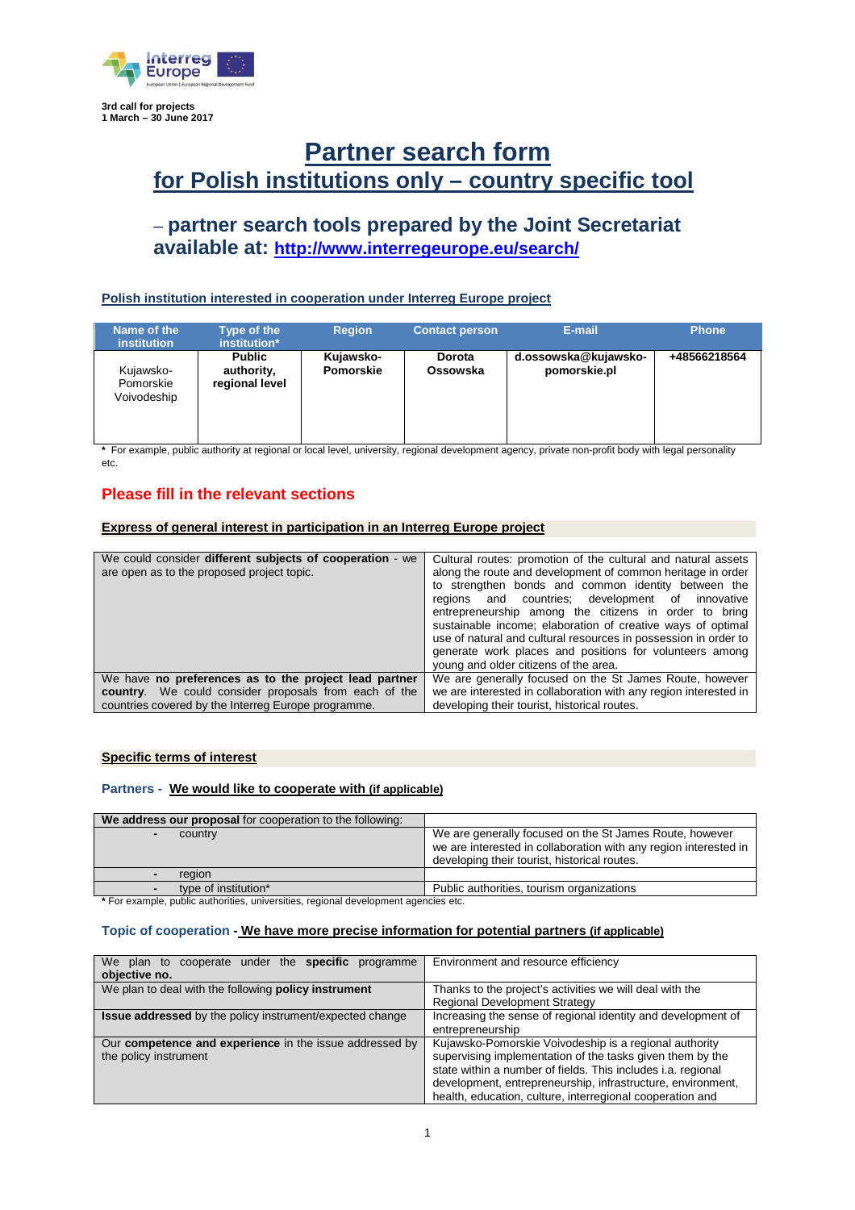

**1 March – 30 June 2017**

# **Partner search form for Polish institutions only – country specific tool**

# – **partner search tools prepared by the Joint Secretariat available at: http://www.interregeurope.eu/search/**

### **Polish institution interested in cooperation under Interreg Europe project**

| Name of the<br><b>institution</b>     | Type of the<br>institution*                   | <b>Region</b>          | <b>Contact person</b>     | E-mail                               | <b>Phone</b> |
|---------------------------------------|-----------------------------------------------|------------------------|---------------------------|--------------------------------------|--------------|
| Kujawsko-<br>Pomorskie<br>Voivodeship | <b>Public</b><br>authority,<br>regional level | Kujawsko-<br>Pomorskie | <b>Dorota</b><br>Ossowska | d.ossowska@kujawsko-<br>pomorskie.pl | +48566218564 |

**\*** For example, public authority at regional or local level, university, regional development agency, private non-profit body with legal personality etc.

## **Please fill in the relevant sections**

### **Express of general interest in participation in an Interreg Europe project**

| We could consider different subjects of cooperation - we<br>are open as to the proposed project topic. | Cultural routes: promotion of the cultural and natural assets<br>along the route and development of common heritage in order<br>to strengthen bonds and common identity between the<br>regions and countries; development of innovative<br>entrepreneurship among the citizens in order to bring<br>sustainable income; elaboration of creative ways of optimal<br>use of natural and cultural resources in possession in order to<br>generate work places and positions for volunteers among<br>young and older citizens of the area. |
|--------------------------------------------------------------------------------------------------------|----------------------------------------------------------------------------------------------------------------------------------------------------------------------------------------------------------------------------------------------------------------------------------------------------------------------------------------------------------------------------------------------------------------------------------------------------------------------------------------------------------------------------------------|
| We have no preferences as to the project lead partner                                                  | We are generally focused on the St James Route, however                                                                                                                                                                                                                                                                                                                                                                                                                                                                                |
| country. We could consider proposals from each of the                                                  | we are interested in collaboration with any region interested in                                                                                                                                                                                                                                                                                                                                                                                                                                                                       |
| countries covered by the Interreg Europe programme.                                                    | developing their tourist, historical routes.                                                                                                                                                                                                                                                                                                                                                                                                                                                                                           |

#### **Specific terms of interest**

#### **Partners - We would like to cooperate with (if applicable)**

| We address our proposal for cooperation to the following: |                                                                                                                                                                             |
|-----------------------------------------------------------|-----------------------------------------------------------------------------------------------------------------------------------------------------------------------------|
| country                                                   | We are generally focused on the St James Route, however<br>we are interested in collaboration with any region interested in<br>developing their tourist, historical routes. |
| region                                                    |                                                                                                                                                                             |
| type of institution*                                      | Public authorities, tourism organizations                                                                                                                                   |

**\*** For example, public authorities, universities, regional development agencies etc.

#### **Topic of cooperation - We have more precise information for potential partners (if applicable)**

| We plan to cooperate under the <b>specific</b><br>programme<br>objective no.     | Environment and resource efficiency                                                                                                                                                                                                                                                                             |
|----------------------------------------------------------------------------------|-----------------------------------------------------------------------------------------------------------------------------------------------------------------------------------------------------------------------------------------------------------------------------------------------------------------|
| We plan to deal with the following <b>policy instrument</b>                      | Thanks to the project's activities we will deal with the<br><b>Regional Development Strategy</b>                                                                                                                                                                                                                |
| <b>Issue addressed</b> by the policy instrument/expected change                  | Increasing the sense of regional identity and development of<br>entrepreneurship                                                                                                                                                                                                                                |
| Our competence and experience in the issue addressed by<br>the policy instrument | Kujawsko-Pomorskie Voivodeship is a regional authority<br>supervising implementation of the tasks given them by the<br>state within a number of fields. This includes i.a. regional<br>development, entrepreneurship, infrastructure, environment,<br>health, education, culture, interregional cooperation and |